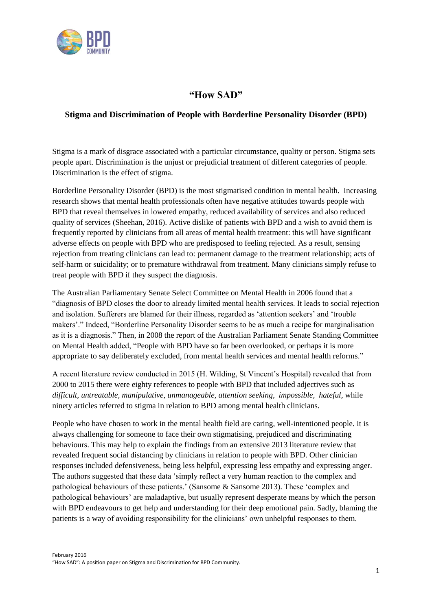

# **"How SAD"**

## **Stigma and Discrimination of People with Borderline Personality Disorder (BPD)**

Stigma is a mark of disgrace associated with a particular circumstance, quality or person. Stigma sets people apart. Discrimination is the unjust or prejudicial treatment of different categories of people. Discrimination is the effect of stigma.

Borderline Personality Disorder (BPD) is the most stigmatised condition in mental health. Increasing research shows that mental health professionals often have negative attitudes towards people with BPD that reveal themselves in lowered empathy, reduced availability of services and also reduced quality of services (Sheehan, 2016). Active dislike of patients with BPD and a wish to avoid them is frequently reported by clinicians from all areas of mental health treatment: this will have significant adverse effects on people with BPD who are predisposed to feeling rejected. As a result, sensing rejection from treating clinicians can lead to: permanent damage to the treatment relationship; acts of self-harm or suicidality; or to premature withdrawal from treatment. Many clinicians simply refuse to treat people with BPD if they suspect the diagnosis.

The Australian Parliamentary Senate Select Committee on Mental Health in 2006 found that a "diagnosis of BPD closes the door to already limited mental health services. It leads to social rejection and isolation. Sufferers are blamed for their illness, regarded as 'attention seekers' and 'trouble makers'." Indeed, "Borderline Personality Disorder seems to be as much a recipe for marginalisation as it is a diagnosis." Then, in 2008 the report of the Australian Parliament Senate Standing Committee on Mental Health added, "People with BPD have so far been overlooked, or perhaps it is more appropriate to say deliberately excluded, from mental health services and mental health reforms."

A recent literature review conducted in 2015 (H. Wilding, St Vincent's Hospital) revealed that from 2000 to 2015 there were eighty references to people with BPD that included adjectives such as *difficult, untreatable, manipulative, unmanageable, attention seeking, impossible, hateful*, while ninety articles referred to stigma in relation to BPD among mental health clinicians.

People who have chosen to work in the mental health field are caring, well-intentioned people. It is always challenging for someone to face their own stigmatising, prejudiced and discriminating behaviours. This may help to explain the findings from an extensive 2013 literature review that revealed frequent social distancing by clinicians in relation to people with BPD. Other clinician responses included defensiveness, being less helpful, expressing less empathy and expressing anger. The authors suggested that these data 'simply reflect a very human reaction to the complex and pathological behaviours of these patients.' (Sansome & Sansome 2013). These 'complex and pathological behaviours' are maladaptive, but usually represent desperate means by which the person with BPD endeavours to get help and understanding for their deep emotional pain. Sadly, blaming the patients is a way of avoiding responsibility for the clinicians' own unhelpful responses to them.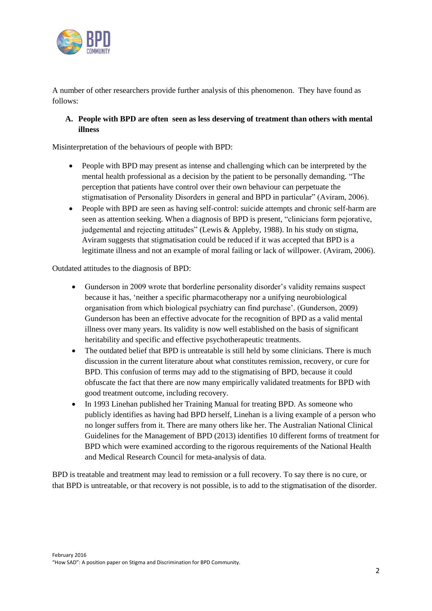

A number of other researchers provide further analysis of this phenomenon. They have found as follows:

### **A. People with BPD are often seen as less deserving of treatment than others with mental illness**

Misinterpretation of the behaviours of people with BPD:

- People with BPD may present as intense and challenging which can be interpreted by the mental health professional as a decision by the patient to be personally demanding. "The perception that patients have control over their own behaviour can perpetuate the stigmatisation of Personality Disorders in general and BPD in particular" (Aviram, 2006).
- People with BPD are seen as having self-control: suicide attempts and chronic self-harm are seen as attention seeking. When a diagnosis of BPD is present, "clinicians form pejorative, judgemental and rejecting attitudes" (Lewis & Appleby, 1988). In his study on stigma, Aviram suggests that stigmatisation could be reduced if it was accepted that BPD is a legitimate illness and not an example of moral failing or lack of willpower. (Aviram, 2006).

Outdated attitudes to the diagnosis of BPD:

- Gunderson in 2009 wrote that borderline personality disorder's validity remains suspect because it has, 'neither a specific pharmacotherapy nor a unifying neurobiological organisation from which biological psychiatry can find purchase'. (Gunderson, 2009) Gunderson has been an effective advocate for the recognition of BPD as a valid mental illness over many years. Its validity is now well established on the basis of significant heritability and specific and effective psychotherapeutic treatments.
- The outdated belief that BPD is untreatable is still held by some clinicians. There is much discussion in the current literature about what constitutes remission, recovery, or cure for BPD. This confusion of terms may add to the stigmatising of BPD, because it could obfuscate the fact that there are now many empirically validated treatments for BPD with good treatment outcome, including recovery.
- In 1993 Linehan published her Training Manual for treating BPD. As someone who publicly identifies as having had BPD herself, Linehan is a living example of a person who no longer suffers from it. There are many others like her. The Australian National Clinical Guidelines for the Management of BPD (2013) identifies 10 different forms of treatment for BPD which were examined according to the rigorous requirements of the National Health and Medical Research Council for meta-analysis of data.

BPD is treatable and treatment may lead to remission or a full recovery. To say there is no cure, or that BPD is untreatable, or that recovery is not possible, is to add to the stigmatisation of the disorder.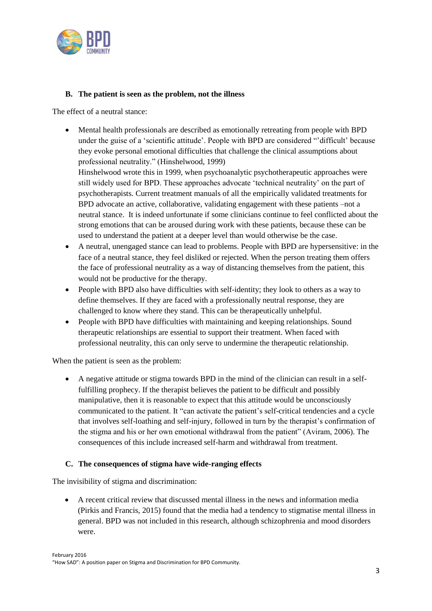

### **B. The patient is seen as the problem, not the illness**

The effect of a neutral stance:

- Mental health professionals are described as emotionally retreating from people with BPD under the guise of a 'scientific attitude'. People with BPD are considered "'difficult' because they evoke personal emotional difficulties that challenge the clinical assumptions about professional neutrality." (Hinshelwood, 1999) Hinshelwood wrote this in 1999, when psychoanalytic psychotherapeutic approaches were still widely used for BPD. These approaches advocate 'technical neutrality' on the part of psychotherapists. Current treatment manuals of all the empirically validated treatments for BPD advocate an active, collaborative, validating engagement with these patients –not a neutral stance. It is indeed unfortunate if some clinicians continue to feel conflicted about the strong emotions that can be aroused during work with these patients, because these can be
- A neutral, unengaged stance can lead to problems. People with BPD are hypersensitive: in the face of a neutral stance, they feel disliked or rejected. When the person treating them offers the face of professional neutrality as a way of distancing themselves from the patient, this would not be productive for the therapy.
- People with BPD also have difficulties with self-identity; they look to others as a way to define themselves. If they are faced with a professionally neutral response, they are challenged to know where they stand. This can be therapeutically unhelpful.

used to understand the patient at a deeper level than would otherwise be the case.

• People with BPD have difficulties with maintaining and keeping relationships. Sound therapeutic relationships are essential to support their treatment. When faced with professional neutrality, this can only serve to undermine the therapeutic relationship.

When the patient is seen as the problem:

 A negative attitude or stigma towards BPD in the mind of the clinician can result in a selffulfilling prophecy. If the therapist believes the patient to be difficult and possibly manipulative, then it is reasonable to expect that this attitude would be unconsciously communicated to the patient. It "can activate the patient's self-critical tendencies and a cycle that involves self-loathing and self-injury, followed in turn by the therapist's confirmation of the stigma and his or her own emotional withdrawal from the patient" (Aviram, 2006). The consequences of this include increased self-harm and withdrawal from treatment.

#### **C. The consequences of stigma have wide-ranging effects**

The invisibility of stigma and discrimination:

 A recent critical review that discussed mental illness in the news and information media (Pirkis and Francis, 2015) found that the media had a tendency to stigmatise mental illness in general. BPD was not included in this research, although schizophrenia and mood disorders were.